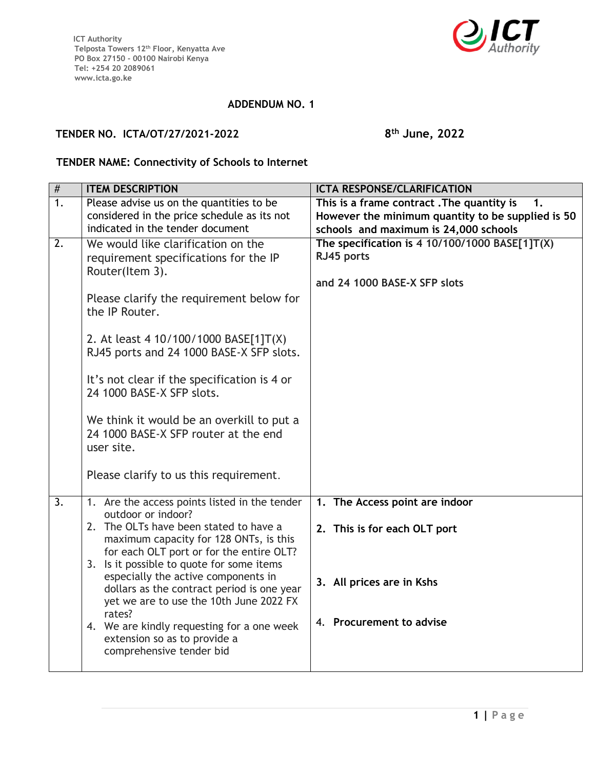

## **ADDENDUM NO. 1**

## **TENDER NO. ICTA/OT/27/2021-2022 8**

**th June, 2022**

## **TENDER NAME: Connectivity of Schools to Internet**

| $\overline{\#}$  | <b>ITEM DESCRIPTION</b>                                                                                                                                                                                                                                                                                                                                                                                                                                                                              | <b>ICTA RESPONSE/CLARIFICATION</b>                                                                                                      |
|------------------|------------------------------------------------------------------------------------------------------------------------------------------------------------------------------------------------------------------------------------------------------------------------------------------------------------------------------------------------------------------------------------------------------------------------------------------------------------------------------------------------------|-----------------------------------------------------------------------------------------------------------------------------------------|
| 1.               | Please advise us on the quantities to be<br>considered in the price schedule as its not<br>indicated in the tender document                                                                                                                                                                                                                                                                                                                                                                          | This is a frame contract. The quantity is<br>However the minimum quantity to be supplied is 50<br>schools and maximum is 24,000 schools |
| 2.               | We would like clarification on the<br>requirement specifications for the IP<br>Router(Item 3).<br>Please clarify the requirement below for<br>the IP Router.<br>2. At least 4 10/100/1000 BASE[1]T(X)<br>RJ45 ports and 24 1000 BASE-X SFP slots.<br>It's not clear if the specification is 4 or<br>24 1000 BASE-X SFP slots.<br>We think it would be an overkill to put a<br>24 1000 BASE-X SFP router at the end<br>user site.<br>Please clarify to us this requirement.                           | The specification is 4 10/100/1000 BASE[1]T(X)<br>RJ45 ports<br>and 24 1000 BASE-X SFP slots                                            |
| $\overline{3}$ . | 1. Are the access points listed in the tender<br>outdoor or indoor?<br>2. The OLTs have been stated to have a<br>maximum capacity for 128 ONTs, is this<br>for each OLT port or for the entire OLT?<br>3. Is it possible to quote for some items<br>especially the active components in<br>dollars as the contract period is one year<br>yet we are to use the 10th June 2022 FX<br>rates?<br>4. We are kindly requesting for a one week<br>extension so as to provide a<br>comprehensive tender bid | 1. The Access point are indoor<br>2. This is for each OLT port<br>3. All prices are in Kshs<br>4. Procurement to advise                 |